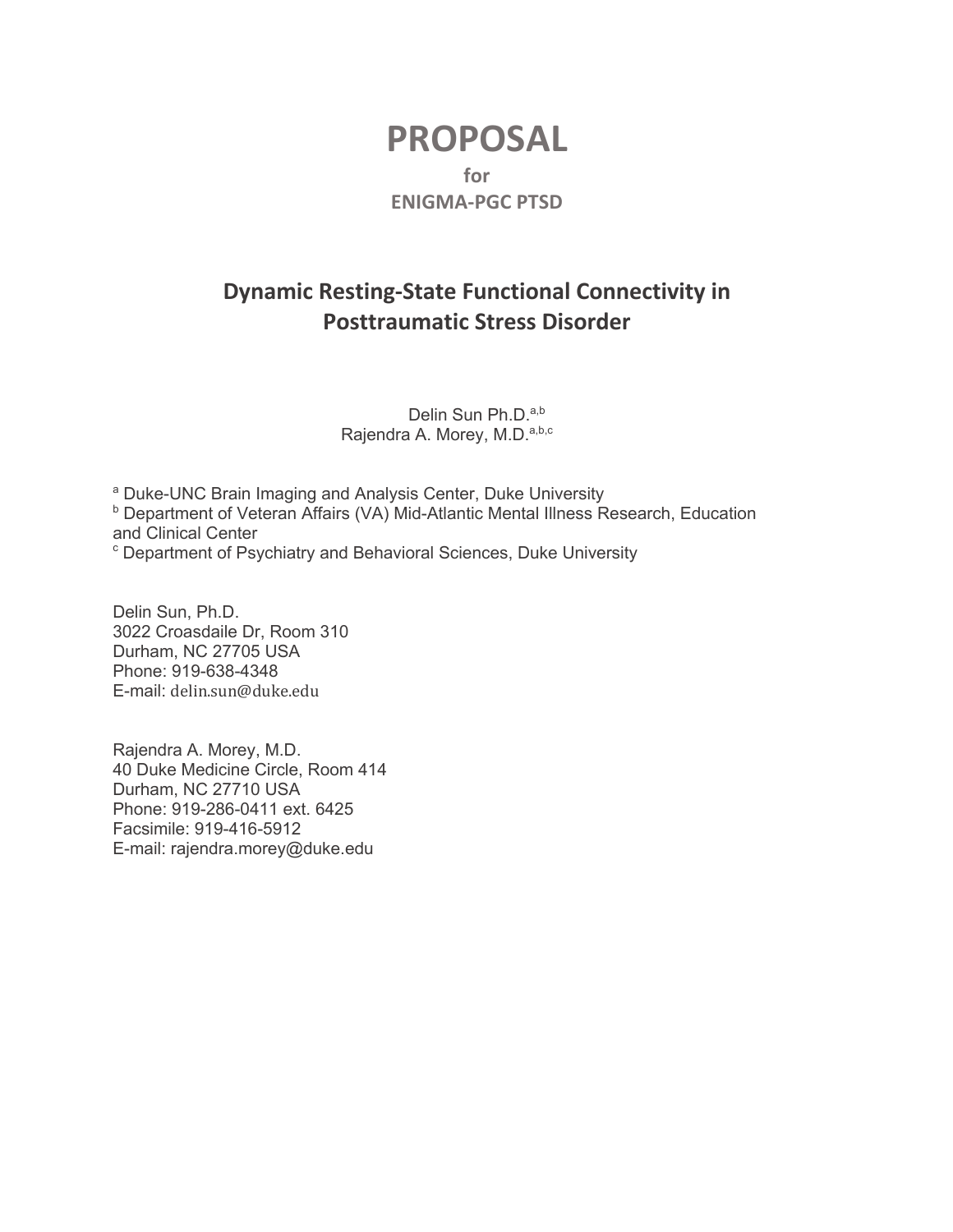# **PROPOSAL for ENIGMA-PGC PTSD**

# **Dynamic Resting-State Functional Connectivity in Posttraumatic Stress Disorder**

Delin Sun Ph.D.<sup>a,b</sup> Rajendra A. Morey, M.D.<sup>a,b,c</sup>

<sup>a</sup> Duke-UNC Brain Imaging and Analysis Center, Duke University **b Department of Veteran Affairs (VA) Mid-Atlantic Mental Illness Research, Education** and Clinical Center

<sup>c</sup> Department of Psychiatry and Behavioral Sciences, Duke University

Delin Sun, Ph.D. 3022 Croasdaile Dr, Room 310 Durham, NC 27705 USA Phone: 919-638-4348 E-mail: delin.sun@duke.edu

Rajendra A. Morey, M.D. 40 Duke Medicine Circle, Room 414 Durham, NC 27710 USA Phone: 919-286-0411 ext. 6425 Facsimile: 919-416-5912 E-mail: rajendra.morey@duke.edu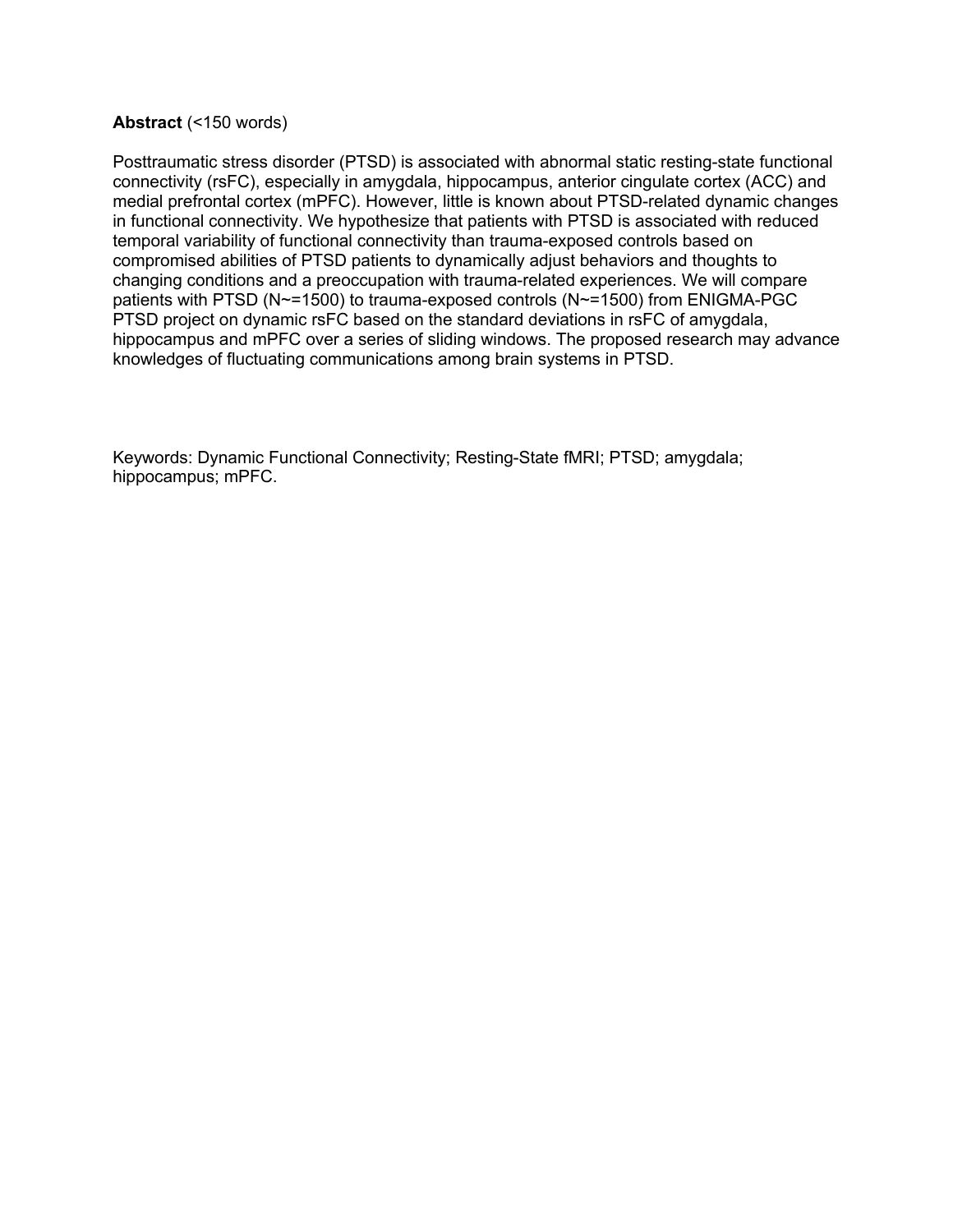## **Abstract** (<150 words)

Posttraumatic stress disorder (PTSD) is associated with abnormal static resting-state functional connectivity (rsFC), especially in amygdala, hippocampus, anterior cingulate cortex (ACC) and medial prefrontal cortex (mPFC). However, little is known about PTSD-related dynamic changes in functional connectivity. We hypothesize that patients with PTSD is associated with reduced temporal variability of functional connectivity than trauma-exposed controls based on compromised abilities of PTSD patients to dynamically adjust behaviors and thoughts to changing conditions and a preoccupation with trauma-related experiences. We will compare patients with PTSD (N~=1500) to trauma-exposed controls (N~=1500) from ENIGMA-PGC PTSD project on dynamic rsFC based on the standard deviations in rsFC of amygdala, hippocampus and mPFC over a series of sliding windows. The proposed research may advance knowledges of fluctuating communications among brain systems in PTSD.

Keywords: Dynamic Functional Connectivity; Resting-State fMRI; PTSD; amygdala; hippocampus; mPFC.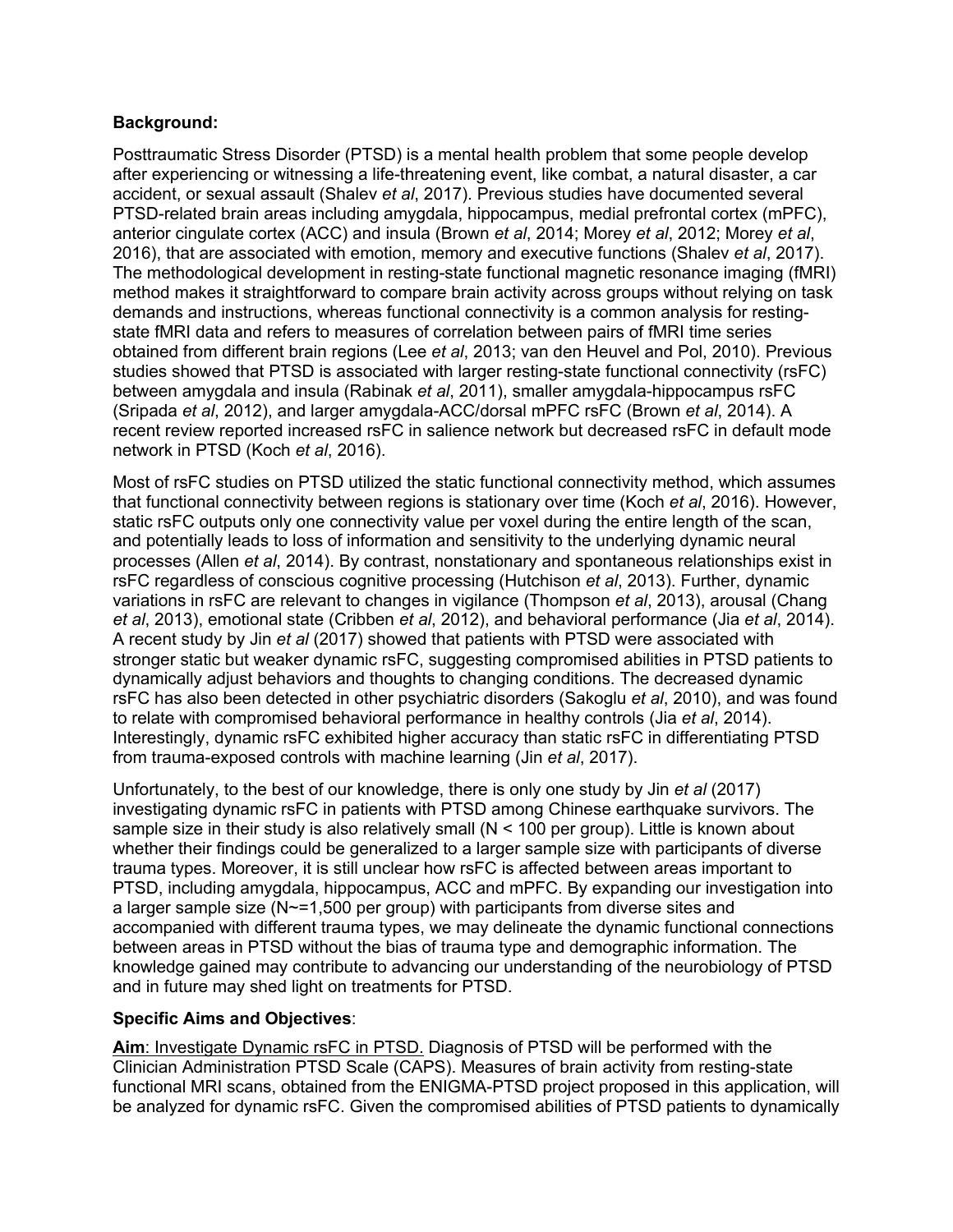# **Background:**

Posttraumatic Stress Disorder (PTSD) is a mental health problem that some people develop after experiencing or witnessing a life-threatening event, like combat, a natural disaster, a car accident, or sexual assault (Shalev *et al*, 2017). Previous studies have documented several PTSD-related brain areas including amygdala, hippocampus, medial prefrontal cortex (mPFC), anterior cingulate cortex (ACC) and insula (Brown *et al*, 2014; Morey *et al*, 2012; Morey *et al*, 2016), that are associated with emotion, memory and executive functions (Shalev *et al*, 2017). The methodological development in resting-state functional magnetic resonance imaging (fMRI) method makes it straightforward to compare brain activity across groups without relying on task demands and instructions, whereas functional connectivity is a common analysis for restingstate fMRI data and refers to measures of correlation between pairs of fMRI time series obtained from different brain regions (Lee *et al*, 2013; van den Heuvel and Pol, 2010). Previous studies showed that PTSD is associated with larger resting-state functional connectivity (rsFC) between amygdala and insula (Rabinak *et al*, 2011), smaller amygdala-hippocampus rsFC (Sripada *et al*, 2012), and larger amygdala-ACC/dorsal mPFC rsFC (Brown *et al*, 2014). A recent review reported increased rsFC in salience network but decreased rsFC in default mode network in PTSD (Koch *et al*, 2016).

Most of rsFC studies on PTSD utilized the static functional connectivity method, which assumes that functional connectivity between regions is stationary over time (Koch *et al*, 2016). However, static rsFC outputs only one connectivity value per voxel during the entire length of the scan, and potentially leads to loss of information and sensitivity to the underlying dynamic neural processes (Allen *et al*, 2014). By contrast, nonstationary and spontaneous relationships exist in rsFC regardless of conscious cognitive processing (Hutchison *et al*, 2013). Further, dynamic variations in rsFC are relevant to changes in vigilance (Thompson *et al*, 2013), arousal (Chang *et al*, 2013), emotional state (Cribben *et al*, 2012), and behavioral performance (Jia *et al*, 2014). A recent study by Jin *et al* (2017) showed that patients with PTSD were associated with stronger static but weaker dynamic rsFC, suggesting compromised abilities in PTSD patients to dynamically adjust behaviors and thoughts to changing conditions. The decreased dynamic rsFC has also been detected in other psychiatric disorders (Sakoglu *et al*, 2010), and was found to relate with compromised behavioral performance in healthy controls (Jia *et al*, 2014). Interestingly, dynamic rsFC exhibited higher accuracy than static rsFC in differentiating PTSD from trauma-exposed controls with machine learning (Jin *et al*, 2017).

Unfortunately, to the best of our knowledge, there is only one study by Jin *et al* (2017) investigating dynamic rsFC in patients with PTSD among Chinese earthquake survivors. The sample size in their study is also relatively small (N < 100 per group). Little is known about whether their findings could be generalized to a larger sample size with participants of diverse trauma types. Moreover, it is still unclear how rsFC is affected between areas important to PTSD, including amygdala, hippocampus, ACC and mPFC. By expanding our investigation into a larger sample size (N~=1,500 per group) with participants from diverse sites and accompanied with different trauma types, we may delineate the dynamic functional connections between areas in PTSD without the bias of trauma type and demographic information. The knowledge gained may contribute to advancing our understanding of the neurobiology of PTSD and in future may shed light on treatments for PTSD.

# **Specific Aims and Objectives**:

**Aim**: Investigate Dynamic rsFC in PTSD. Diagnosis of PTSD will be performed with the Clinician Administration PTSD Scale (CAPS). Measures of brain activity from resting-state functional MRI scans, obtained from the ENIGMA-PTSD project proposed in this application, will be analyzed for dynamic rsFC. Given the compromised abilities of PTSD patients to dynamically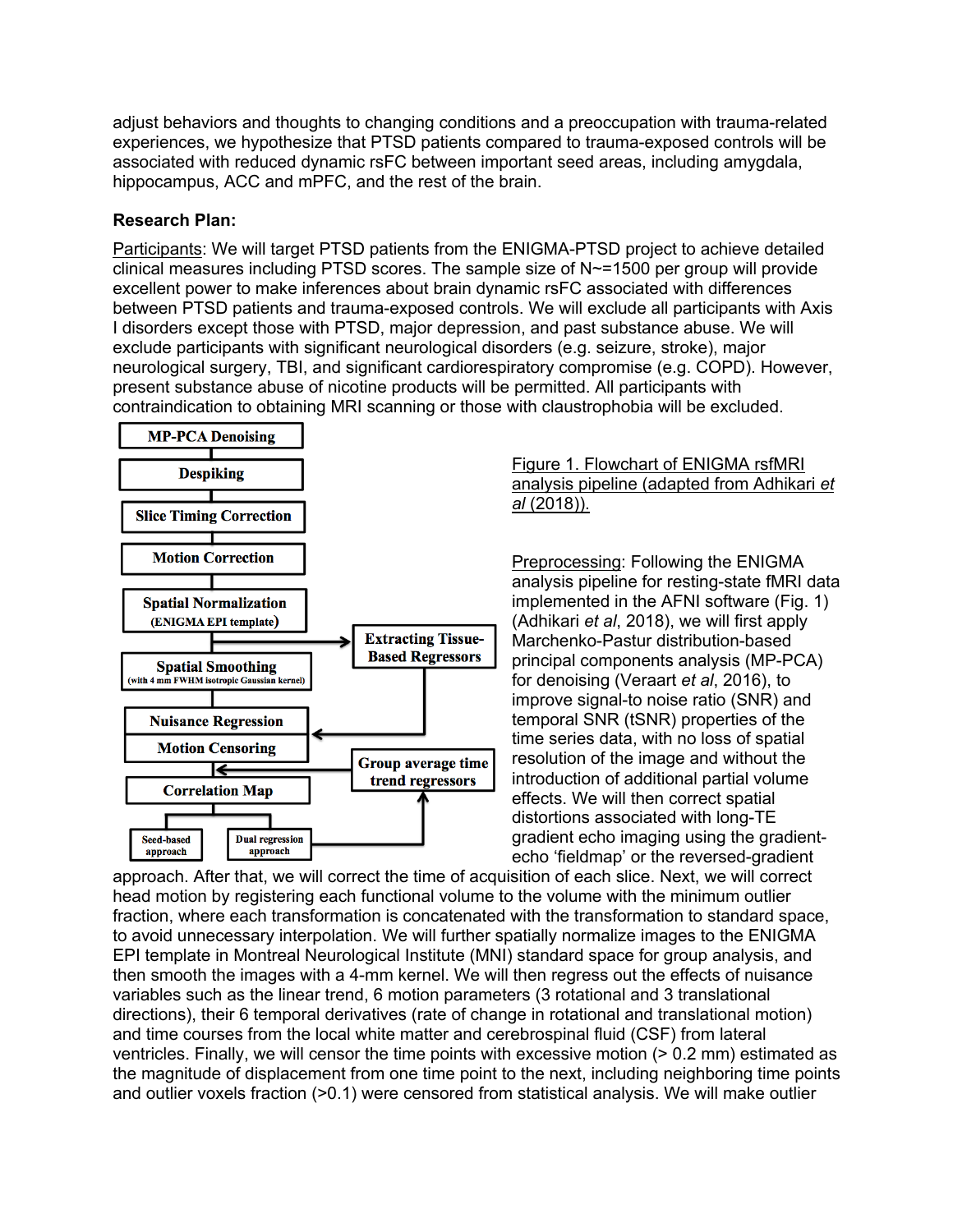adjust behaviors and thoughts to changing conditions and a preoccupation with trauma-related experiences, we hypothesize that PTSD patients compared to trauma-exposed controls will be associated with reduced dynamic rsFC between important seed areas, including amygdala, hippocampus, ACC and mPFC, and the rest of the brain.

# **Research Plan:**

Participants: We will target PTSD patients from the ENIGMA-PTSD project to achieve detailed clinical measures including PTSD scores. The sample size of N~=1500 per group will provide excellent power to make inferences about brain dynamic rsFC associated with differences between PTSD patients and trauma-exposed controls. We will exclude all participants with Axis I disorders except those with PTSD, major depression, and past substance abuse. We will exclude participants with significant neurological disorders (e.g. seizure, stroke), major neurological surgery, TBI, and significant cardiorespiratory compromise (e.g. COPD). However, present substance abuse of nicotine products will be permitted. All participants with contraindication to obtaining MRI scanning or those with claustrophobia will be excluded.



#### Figure 1. Flowchart of ENIGMA rsfMRI analysis pipeline (adapted from Adhikari *et al* (2018)).

Preprocessing: Following the ENIGMA analysis pipeline for resting-state fMRI data implemented in the AFNI software (Fig. 1) (Adhikari *et al*, 2018), we will first apply Marchenko-Pastur distribution-based principal components analysis (MP-PCA) for denoising (Veraart *et al*, 2016), to improve signal-to noise ratio (SNR) and temporal SNR (tSNR) properties of the time series data, with no loss of spatial resolution of the image and without the introduction of additional partial volume effects. We will then correct spatial distortions associated with long-TE gradient echo imaging using the gradientecho 'fieldmap' or the reversed-gradient

approach. After that, we will correct the time of acquisition of each slice. Next, we will correct head motion by registering each functional volume to the volume with the minimum outlier fraction, where each transformation is concatenated with the transformation to standard space, to avoid unnecessary interpolation. We will further spatially normalize images to the ENIGMA EPI template in Montreal Neurological Institute (MNI) standard space for group analysis, and then smooth the images with a 4-mm kernel. We will then regress out the effects of nuisance variables such as the linear trend, 6 motion parameters (3 rotational and 3 translational directions), their 6 temporal derivatives (rate of change in rotational and translational motion) and time courses from the local white matter and cerebrospinal fluid (CSF) from lateral ventricles. Finally, we will censor the time points with excessive motion (> 0.2 mm) estimated as the magnitude of displacement from one time point to the next, including neighboring time points and outlier voxels fraction (>0.1) were censored from statistical analysis. We will make outlier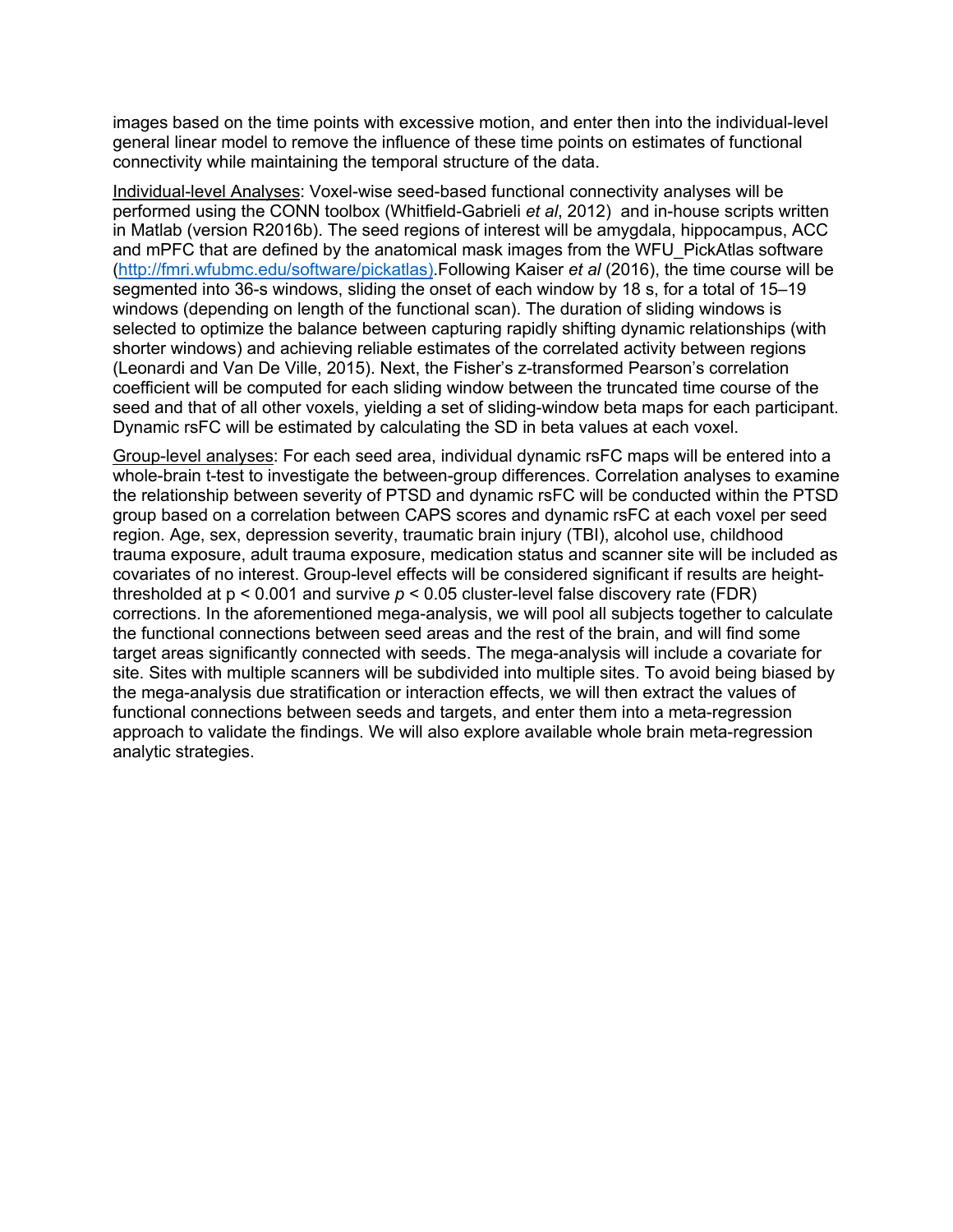images based on the time points with excessive motion, and enter then into the individual-level general linear model to remove the influence of these time points on estimates of functional connectivity while maintaining the temporal structure of the data.

Individual-level Analyses: Voxel-wise seed-based functional connectivity analyses will be performed using the CONN toolbox (Whitfield-Gabrieli *et al*, 2012) and in-house scripts written in Matlab (version R2016b). The seed regions of interest will be amygdala, hippocampus, ACC and mPFC that are defined by the anatomical mask images from the WFU\_PickAtlas software (http://fmri.wfubmc.edu/software/pickatlas).Following Kaiser *et al* (2016), the time course will be segmented into 36-s windows, sliding the onset of each window by 18 s, for a total of 15–19 windows (depending on length of the functional scan). The duration of sliding windows is selected to optimize the balance between capturing rapidly shifting dynamic relationships (with shorter windows) and achieving reliable estimates of the correlated activity between regions (Leonardi and Van De Ville, 2015). Next, the Fisher's z-transformed Pearson's correlation coefficient will be computed for each sliding window between the truncated time course of the seed and that of all other voxels, yielding a set of sliding-window beta maps for each participant. Dynamic rsFC will be estimated by calculating the SD in beta values at each voxel.

Group-level analyses: For each seed area, individual dynamic rsFC maps will be entered into a whole-brain t-test to investigate the between-group differences. Correlation analyses to examine the relationship between severity of PTSD and dynamic rsFC will be conducted within the PTSD group based on a correlation between CAPS scores and dynamic rsFC at each voxel per seed region. Age, sex, depression severity, traumatic brain injury (TBI), alcohol use, childhood trauma exposure, adult trauma exposure, medication status and scanner site will be included as covariates of no interest. Group-level effects will be considered significant if results are heightthresholded at p < 0.001 and survive *p* < 0.05 cluster-level false discovery rate (FDR) corrections. In the aforementioned mega-analysis, we will pool all subjects together to calculate the functional connections between seed areas and the rest of the brain, and will find some target areas significantly connected with seeds. The mega-analysis will include a covariate for site. Sites with multiple scanners will be subdivided into multiple sites. To avoid being biased by the mega-analysis due stratification or interaction effects, we will then extract the values of functional connections between seeds and targets, and enter them into a meta-regression approach to validate the findings. We will also explore available whole brain meta-regression analytic strategies.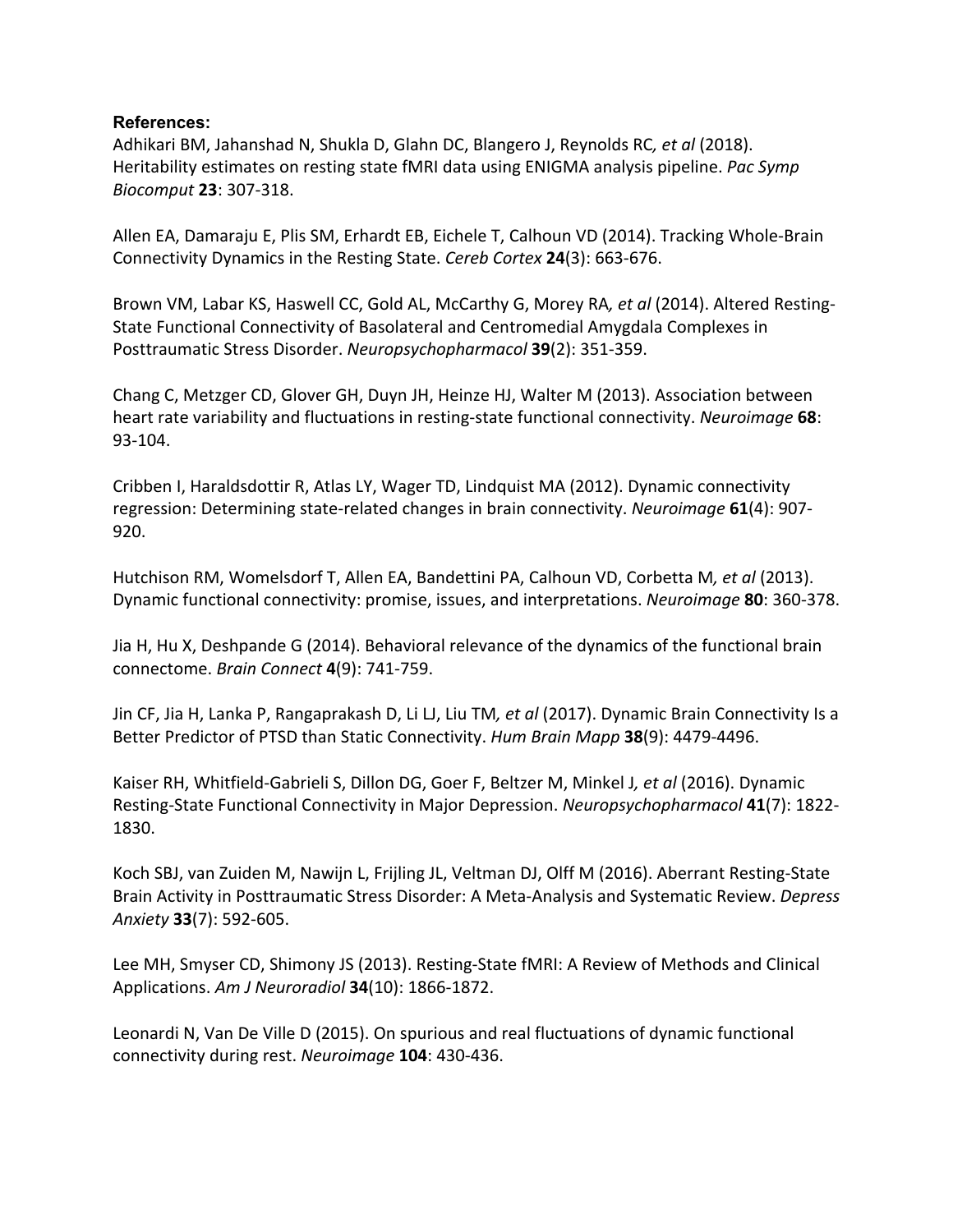# **References:**

Adhikari BM, Jahanshad N, Shukla D, Glahn DC, Blangero J, Reynolds RC*, et al* (2018). Heritability estimates on resting state fMRI data using ENIGMA analysis pipeline. *Pac Symp Biocomput* **23**: 307-318.

Allen EA, Damaraju E, Plis SM, Erhardt EB, Eichele T, Calhoun VD (2014). Tracking Whole-Brain Connectivity Dynamics in the Resting State. *Cereb Cortex* **24**(3): 663-676.

Brown VM, Labar KS, Haswell CC, Gold AL, McCarthy G, Morey RA*, et al* (2014). Altered Resting-State Functional Connectivity of Basolateral and Centromedial Amygdala Complexes in Posttraumatic Stress Disorder. *Neuropsychopharmacol* **39**(2): 351-359.

Chang C, Metzger CD, Glover GH, Duyn JH, Heinze HJ, Walter M (2013). Association between heart rate variability and fluctuations in resting-state functional connectivity. *Neuroimage* **68**: 93-104.

Cribben I, Haraldsdottir R, Atlas LY, Wager TD, Lindquist MA (2012). Dynamic connectivity regression: Determining state-related changes in brain connectivity. *Neuroimage* **61**(4): 907- 920.

Hutchison RM, Womelsdorf T, Allen EA, Bandettini PA, Calhoun VD, Corbetta M*, et al* (2013). Dynamic functional connectivity: promise, issues, and interpretations. *Neuroimage* **80**: 360-378.

Jia H, Hu X, Deshpande G (2014). Behavioral relevance of the dynamics of the functional brain connectome. *Brain Connect* **4**(9): 741-759.

Jin CF, Jia H, Lanka P, Rangaprakash D, Li LJ, Liu TM*, et al* (2017). Dynamic Brain Connectivity Is a Better Predictor of PTSD than Static Connectivity. *Hum Brain Mapp* **38**(9): 4479-4496.

Kaiser RH, Whitfield-Gabrieli S, Dillon DG, Goer F, Beltzer M, Minkel J*, et al* (2016). Dynamic Resting-State Functional Connectivity in Major Depression. *Neuropsychopharmacol* **41**(7): 1822- 1830.

Koch SBJ, van Zuiden M, Nawijn L, Frijling JL, Veltman DJ, Olff M (2016). Aberrant Resting-State Brain Activity in Posttraumatic Stress Disorder: A Meta-Analysis and Systematic Review. *Depress Anxiety* **33**(7): 592-605.

Lee MH, Smyser CD, Shimony JS (2013). Resting-State fMRI: A Review of Methods and Clinical Applications. *Am J Neuroradiol* **34**(10): 1866-1872.

Leonardi N, Van De Ville D (2015). On spurious and real fluctuations of dynamic functional connectivity during rest. *Neuroimage* **104**: 430-436.